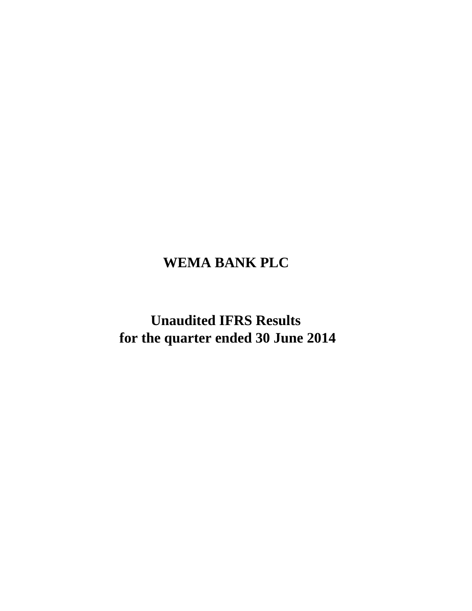# **WEMA BANK PLC**

**Unaudited IFRS Results for the quarter ended 30 June 2014**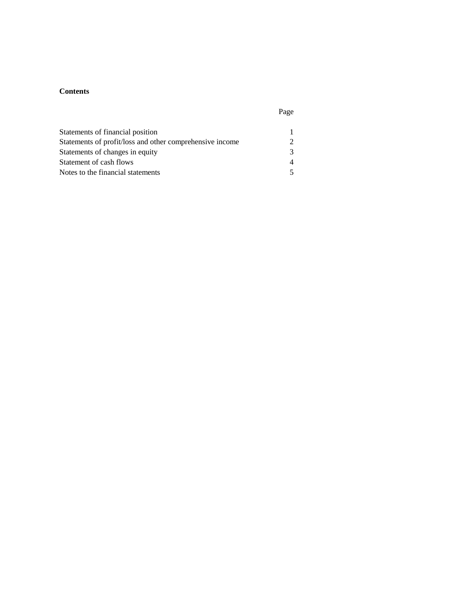## **Contents**

| ٠<br>٠<br>× |  |
|-------------|--|
|             |  |

| Statements of financial position                         |               |
|----------------------------------------------------------|---------------|
| Statements of profit/loss and other comprehensive income | $\mathcal{D}$ |
| Statements of changes in equity                          | 3             |
| Statement of cash flows                                  | $\Delta$      |
| Notes to the financial statements                        |               |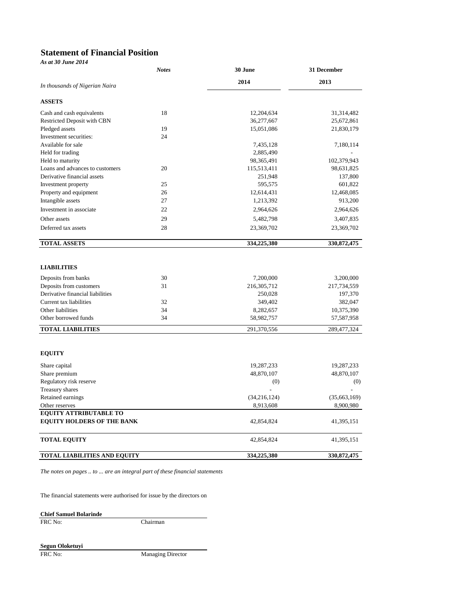#### **Statement of Financial Position** *As at 30 June 2014*

| 2014<br>2013<br>In thousands of Nigerian Naira<br><b>ASSETS</b><br>18<br>Cash and cash equivalents<br>12,204,634<br>31,314,482<br>Restricted Deposit with CBN<br>36,277,667<br>25,672,861<br>19<br>21,830,179<br>Pledged assets<br>15,051,086<br>24<br>Investment securities:<br>Available for sale<br>7,435,128<br>7,180,114<br>Held for trading<br>2,885,490<br>Held to maturity<br>102,379,943<br>98, 365, 491<br>20<br>Loans and advances to customers<br>115,513,411<br>98,631,825<br>Derivative financial assets<br>251,948<br>137,800<br>Investment property<br>25<br>595,575<br>601,822<br>Property and equipment<br>26<br>12,614,431<br>12,468,085<br>Intangible assets<br>27<br>1,213,392<br>913,200<br>22<br>Investment in associate<br>2,964,626<br>2,964,626<br>29<br>Other assets<br>5,482,798<br>3,407,835<br>28<br>Deferred tax assets<br>23,369,702<br>23,369,702<br><b>TOTAL ASSETS</b><br>334,225,380<br>330, 872, 475<br><b>LIABILITIES</b><br>30<br>7,200,000<br>3,200,000<br>Deposits from banks<br>Deposits from customers<br>31<br>216,305,712<br>217,734,559<br>Derivative financial liabilities<br>250,028<br>197,370<br>Current tax liabilities<br>32<br>349,402<br>382,047<br>Other liabilities<br>34<br>10,375,390<br>8,282,657<br>Other borrowed funds<br>34<br>58,982,757<br>57,587,958<br><b>TOTAL LIABILITIES</b><br>291,370,556<br><b>EQUITY</b><br>Share capital<br>19,287,233<br>19,287,233<br>Share premium<br>48,870,107<br>Regulatory risk reserve<br>(0)<br>Treasury shares<br>Retained earnings<br>(34,216,124)<br>8,913,608<br>Other reserves<br><b>EQUITY ATTRIBUTABLE TO</b><br><b>EQUITY HOLDERS OF THE BANK</b><br>42,854,824<br>41,395,151<br><b>TOTAL EQUITY</b><br>41,395,151<br>42,854,824<br><b>TOTAL LIABILITIES AND EQUITY</b><br>334,225,380 | лэ ш эо зинс 2014 | <b>Notes</b> | 30 June | 31 December   |
|----------------------------------------------------------------------------------------------------------------------------------------------------------------------------------------------------------------------------------------------------------------------------------------------------------------------------------------------------------------------------------------------------------------------------------------------------------------------------------------------------------------------------------------------------------------------------------------------------------------------------------------------------------------------------------------------------------------------------------------------------------------------------------------------------------------------------------------------------------------------------------------------------------------------------------------------------------------------------------------------------------------------------------------------------------------------------------------------------------------------------------------------------------------------------------------------------------------------------------------------------------------------------------------------------------------------------------------------------------------------------------------------------------------------------------------------------------------------------------------------------------------------------------------------------------------------------------------------------------------------------------------------------------------------------------------------------------------------------------------------------------------------------------------------------|-------------------|--------------|---------|---------------|
|                                                                                                                                                                                                                                                                                                                                                                                                                                                                                                                                                                                                                                                                                                                                                                                                                                                                                                                                                                                                                                                                                                                                                                                                                                                                                                                                                                                                                                                                                                                                                                                                                                                                                                                                                                                                    |                   |              |         |               |
|                                                                                                                                                                                                                                                                                                                                                                                                                                                                                                                                                                                                                                                                                                                                                                                                                                                                                                                                                                                                                                                                                                                                                                                                                                                                                                                                                                                                                                                                                                                                                                                                                                                                                                                                                                                                    |                   |              |         |               |
|                                                                                                                                                                                                                                                                                                                                                                                                                                                                                                                                                                                                                                                                                                                                                                                                                                                                                                                                                                                                                                                                                                                                                                                                                                                                                                                                                                                                                                                                                                                                                                                                                                                                                                                                                                                                    |                   |              |         |               |
|                                                                                                                                                                                                                                                                                                                                                                                                                                                                                                                                                                                                                                                                                                                                                                                                                                                                                                                                                                                                                                                                                                                                                                                                                                                                                                                                                                                                                                                                                                                                                                                                                                                                                                                                                                                                    |                   |              |         |               |
|                                                                                                                                                                                                                                                                                                                                                                                                                                                                                                                                                                                                                                                                                                                                                                                                                                                                                                                                                                                                                                                                                                                                                                                                                                                                                                                                                                                                                                                                                                                                                                                                                                                                                                                                                                                                    |                   |              |         |               |
|                                                                                                                                                                                                                                                                                                                                                                                                                                                                                                                                                                                                                                                                                                                                                                                                                                                                                                                                                                                                                                                                                                                                                                                                                                                                                                                                                                                                                                                                                                                                                                                                                                                                                                                                                                                                    |                   |              |         |               |
|                                                                                                                                                                                                                                                                                                                                                                                                                                                                                                                                                                                                                                                                                                                                                                                                                                                                                                                                                                                                                                                                                                                                                                                                                                                                                                                                                                                                                                                                                                                                                                                                                                                                                                                                                                                                    |                   |              |         |               |
|                                                                                                                                                                                                                                                                                                                                                                                                                                                                                                                                                                                                                                                                                                                                                                                                                                                                                                                                                                                                                                                                                                                                                                                                                                                                                                                                                                                                                                                                                                                                                                                                                                                                                                                                                                                                    |                   |              |         |               |
|                                                                                                                                                                                                                                                                                                                                                                                                                                                                                                                                                                                                                                                                                                                                                                                                                                                                                                                                                                                                                                                                                                                                                                                                                                                                                                                                                                                                                                                                                                                                                                                                                                                                                                                                                                                                    |                   |              |         |               |
|                                                                                                                                                                                                                                                                                                                                                                                                                                                                                                                                                                                                                                                                                                                                                                                                                                                                                                                                                                                                                                                                                                                                                                                                                                                                                                                                                                                                                                                                                                                                                                                                                                                                                                                                                                                                    |                   |              |         |               |
|                                                                                                                                                                                                                                                                                                                                                                                                                                                                                                                                                                                                                                                                                                                                                                                                                                                                                                                                                                                                                                                                                                                                                                                                                                                                                                                                                                                                                                                                                                                                                                                                                                                                                                                                                                                                    |                   |              |         |               |
|                                                                                                                                                                                                                                                                                                                                                                                                                                                                                                                                                                                                                                                                                                                                                                                                                                                                                                                                                                                                                                                                                                                                                                                                                                                                                                                                                                                                                                                                                                                                                                                                                                                                                                                                                                                                    |                   |              |         |               |
|                                                                                                                                                                                                                                                                                                                                                                                                                                                                                                                                                                                                                                                                                                                                                                                                                                                                                                                                                                                                                                                                                                                                                                                                                                                                                                                                                                                                                                                                                                                                                                                                                                                                                                                                                                                                    |                   |              |         |               |
|                                                                                                                                                                                                                                                                                                                                                                                                                                                                                                                                                                                                                                                                                                                                                                                                                                                                                                                                                                                                                                                                                                                                                                                                                                                                                                                                                                                                                                                                                                                                                                                                                                                                                                                                                                                                    |                   |              |         |               |
|                                                                                                                                                                                                                                                                                                                                                                                                                                                                                                                                                                                                                                                                                                                                                                                                                                                                                                                                                                                                                                                                                                                                                                                                                                                                                                                                                                                                                                                                                                                                                                                                                                                                                                                                                                                                    |                   |              |         |               |
|                                                                                                                                                                                                                                                                                                                                                                                                                                                                                                                                                                                                                                                                                                                                                                                                                                                                                                                                                                                                                                                                                                                                                                                                                                                                                                                                                                                                                                                                                                                                                                                                                                                                                                                                                                                                    |                   |              |         |               |
|                                                                                                                                                                                                                                                                                                                                                                                                                                                                                                                                                                                                                                                                                                                                                                                                                                                                                                                                                                                                                                                                                                                                                                                                                                                                                                                                                                                                                                                                                                                                                                                                                                                                                                                                                                                                    |                   |              |         |               |
|                                                                                                                                                                                                                                                                                                                                                                                                                                                                                                                                                                                                                                                                                                                                                                                                                                                                                                                                                                                                                                                                                                                                                                                                                                                                                                                                                                                                                                                                                                                                                                                                                                                                                                                                                                                                    |                   |              |         |               |
|                                                                                                                                                                                                                                                                                                                                                                                                                                                                                                                                                                                                                                                                                                                                                                                                                                                                                                                                                                                                                                                                                                                                                                                                                                                                                                                                                                                                                                                                                                                                                                                                                                                                                                                                                                                                    |                   |              |         |               |
|                                                                                                                                                                                                                                                                                                                                                                                                                                                                                                                                                                                                                                                                                                                                                                                                                                                                                                                                                                                                                                                                                                                                                                                                                                                                                                                                                                                                                                                                                                                                                                                                                                                                                                                                                                                                    |                   |              |         |               |
|                                                                                                                                                                                                                                                                                                                                                                                                                                                                                                                                                                                                                                                                                                                                                                                                                                                                                                                                                                                                                                                                                                                                                                                                                                                                                                                                                                                                                                                                                                                                                                                                                                                                                                                                                                                                    |                   |              |         |               |
|                                                                                                                                                                                                                                                                                                                                                                                                                                                                                                                                                                                                                                                                                                                                                                                                                                                                                                                                                                                                                                                                                                                                                                                                                                                                                                                                                                                                                                                                                                                                                                                                                                                                                                                                                                                                    |                   |              |         |               |
|                                                                                                                                                                                                                                                                                                                                                                                                                                                                                                                                                                                                                                                                                                                                                                                                                                                                                                                                                                                                                                                                                                                                                                                                                                                                                                                                                                                                                                                                                                                                                                                                                                                                                                                                                                                                    |                   |              |         |               |
|                                                                                                                                                                                                                                                                                                                                                                                                                                                                                                                                                                                                                                                                                                                                                                                                                                                                                                                                                                                                                                                                                                                                                                                                                                                                                                                                                                                                                                                                                                                                                                                                                                                                                                                                                                                                    |                   |              |         |               |
|                                                                                                                                                                                                                                                                                                                                                                                                                                                                                                                                                                                                                                                                                                                                                                                                                                                                                                                                                                                                                                                                                                                                                                                                                                                                                                                                                                                                                                                                                                                                                                                                                                                                                                                                                                                                    |                   |              |         |               |
|                                                                                                                                                                                                                                                                                                                                                                                                                                                                                                                                                                                                                                                                                                                                                                                                                                                                                                                                                                                                                                                                                                                                                                                                                                                                                                                                                                                                                                                                                                                                                                                                                                                                                                                                                                                                    |                   |              |         |               |
|                                                                                                                                                                                                                                                                                                                                                                                                                                                                                                                                                                                                                                                                                                                                                                                                                                                                                                                                                                                                                                                                                                                                                                                                                                                                                                                                                                                                                                                                                                                                                                                                                                                                                                                                                                                                    |                   |              |         | 289,477,324   |
|                                                                                                                                                                                                                                                                                                                                                                                                                                                                                                                                                                                                                                                                                                                                                                                                                                                                                                                                                                                                                                                                                                                                                                                                                                                                                                                                                                                                                                                                                                                                                                                                                                                                                                                                                                                                    |                   |              |         |               |
|                                                                                                                                                                                                                                                                                                                                                                                                                                                                                                                                                                                                                                                                                                                                                                                                                                                                                                                                                                                                                                                                                                                                                                                                                                                                                                                                                                                                                                                                                                                                                                                                                                                                                                                                                                                                    |                   |              |         |               |
|                                                                                                                                                                                                                                                                                                                                                                                                                                                                                                                                                                                                                                                                                                                                                                                                                                                                                                                                                                                                                                                                                                                                                                                                                                                                                                                                                                                                                                                                                                                                                                                                                                                                                                                                                                                                    |                   |              |         |               |
|                                                                                                                                                                                                                                                                                                                                                                                                                                                                                                                                                                                                                                                                                                                                                                                                                                                                                                                                                                                                                                                                                                                                                                                                                                                                                                                                                                                                                                                                                                                                                                                                                                                                                                                                                                                                    |                   |              |         | 48,870,107    |
|                                                                                                                                                                                                                                                                                                                                                                                                                                                                                                                                                                                                                                                                                                                                                                                                                                                                                                                                                                                                                                                                                                                                                                                                                                                                                                                                                                                                                                                                                                                                                                                                                                                                                                                                                                                                    |                   |              |         | (0)           |
|                                                                                                                                                                                                                                                                                                                                                                                                                                                                                                                                                                                                                                                                                                                                                                                                                                                                                                                                                                                                                                                                                                                                                                                                                                                                                                                                                                                                                                                                                                                                                                                                                                                                                                                                                                                                    |                   |              |         |               |
|                                                                                                                                                                                                                                                                                                                                                                                                                                                                                                                                                                                                                                                                                                                                                                                                                                                                                                                                                                                                                                                                                                                                                                                                                                                                                                                                                                                                                                                                                                                                                                                                                                                                                                                                                                                                    |                   |              |         | (35,663,169)  |
|                                                                                                                                                                                                                                                                                                                                                                                                                                                                                                                                                                                                                                                                                                                                                                                                                                                                                                                                                                                                                                                                                                                                                                                                                                                                                                                                                                                                                                                                                                                                                                                                                                                                                                                                                                                                    |                   |              |         | 8,900,980     |
|                                                                                                                                                                                                                                                                                                                                                                                                                                                                                                                                                                                                                                                                                                                                                                                                                                                                                                                                                                                                                                                                                                                                                                                                                                                                                                                                                                                                                                                                                                                                                                                                                                                                                                                                                                                                    |                   |              |         |               |
|                                                                                                                                                                                                                                                                                                                                                                                                                                                                                                                                                                                                                                                                                                                                                                                                                                                                                                                                                                                                                                                                                                                                                                                                                                                                                                                                                                                                                                                                                                                                                                                                                                                                                                                                                                                                    |                   |              |         |               |
|                                                                                                                                                                                                                                                                                                                                                                                                                                                                                                                                                                                                                                                                                                                                                                                                                                                                                                                                                                                                                                                                                                                                                                                                                                                                                                                                                                                                                                                                                                                                                                                                                                                                                                                                                                                                    |                   |              |         |               |
|                                                                                                                                                                                                                                                                                                                                                                                                                                                                                                                                                                                                                                                                                                                                                                                                                                                                                                                                                                                                                                                                                                                                                                                                                                                                                                                                                                                                                                                                                                                                                                                                                                                                                                                                                                                                    |                   |              |         | 330, 872, 475 |

*The notes on pages .. to ... are an integral part of these financial statements*

The financial statements were authorised for issue by the directors on

**Chief Samuel Bolarinde**

Chairman

**Segun Oloketuyi**

FRC No: Managing Director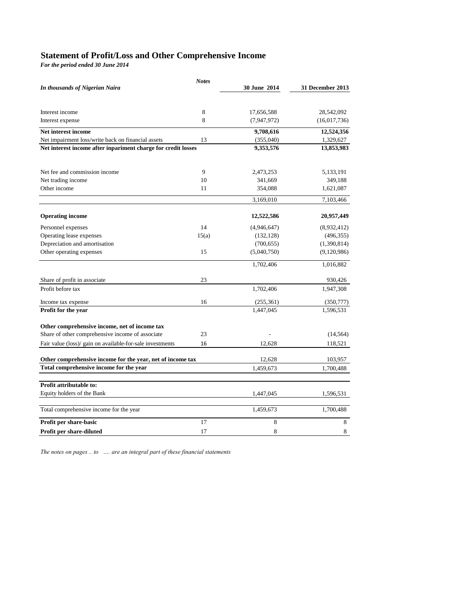# **Statement of Profit/Loss and Other Comprehensive Income**

*For the period ended 30 June 2014*

| In thousands of Nigerian Naira                                | <b>Notes</b> | 30 June 2014 | 31 December 2013 |
|---------------------------------------------------------------|--------------|--------------|------------------|
|                                                               |              |              |                  |
| Interest income                                               | 8            | 17,656,588   | 28,542,092       |
| Interest expense                                              | 8            | (7,947,972)  | (16,017,736)     |
| Net interest income                                           |              | 9,708,616    | 12,524,356       |
| Net impairment loss/write back on financial assets            | 13           | (355,040)    | 1,329,627        |
| Net interest income after inpariment charge for credit losses |              | 9,353,576    | 13,853,983       |
| Net fee and commission income                                 | 9            | 2,473,253    | 5,133,191        |
| Net trading income                                            | 10           | 341,669      | 349,188          |
| Other income                                                  | 11           | 354,088      | 1,621,087        |
|                                                               |              | 3,169,010    | 7,103,466        |
| <b>Operating income</b>                                       |              | 12,522,586   | 20,957,449       |
| Personnel expenses                                            | 14           | (4,946,647)  | (8,932,412)      |
| Operating lease expenses                                      | 15(a)        | (132, 128)   | (496, 355)       |
| Depreciation and amortisation                                 |              | (700, 655)   | (1,390,814)      |
| Other operating expenses                                      | 15           | (5,040,750)  | (9,120,986)      |
|                                                               |              | 1,702,406    | 1,016,882        |
| Share of profit in associate                                  | 23           |              | 930,426          |
| Profit before tax                                             |              | 1,702,406    | 1,947,308        |
| Income tax expense                                            | 16           | (255, 361)   | (350, 777)       |
| Profit for the year                                           |              | 1,447,045    | 1,596,531        |
| Other comprehensive income, net of income tax                 |              |              |                  |
| Share of other comprehensive income of associate              | 23           |              | (14, 564)        |
| Fair value (loss)/ gain on available-for-sale investments     | 16           | 12,628       | 118,521          |
| Other comprehensive income for the year, net of income tax    |              | 12,628       | 103,957          |
| Total comprehensive income for the year                       |              | 1,459,673    | 1,700,488        |
|                                                               |              |              |                  |
| Profit attributable to:<br>Equity holders of the Bank         |              | 1,447,045    | 1,596,531        |
|                                                               |              |              |                  |
| Total comprehensive income for the year                       |              | 1,459,673    | 1,700,488        |
| Profit per share-basic                                        | 17           | 8            | 8                |
| Profit per share-diluted                                      | 17           | 8            | 8                |

*The notes on pages .. to …. are an integral part of these financial statements*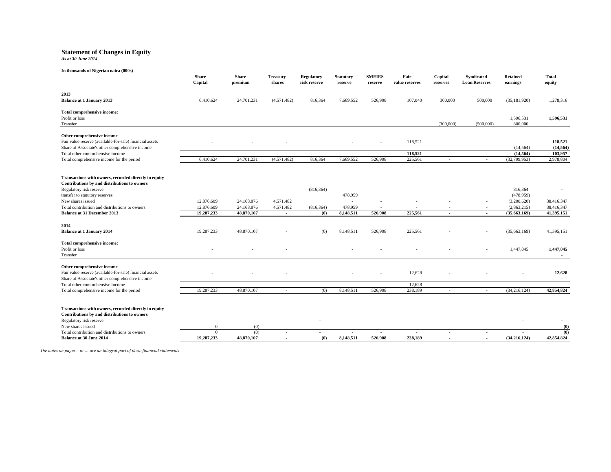#### **Statement of Changes in Equity**

*As at 30 June 2014*

| In thousands of Nigerian naira (000s)                                                                                                                                                                                                                                    | <b>Share</b><br>Capital                | <b>Share</b><br>premium                | <b>Treasury</b><br>shares        | Regulatory<br>risk reserve      | <b>Statutory</b><br>reserve     | <b>SMEIES</b><br>reserve | Fair<br>value reserves | Capital<br>reserves                | Syndicated<br><b>Loan Reserves</b> | <b>Retained</b><br>earnings                                        | Total<br>equity                        |
|--------------------------------------------------------------------------------------------------------------------------------------------------------------------------------------------------------------------------------------------------------------------------|----------------------------------------|----------------------------------------|----------------------------------|---------------------------------|---------------------------------|--------------------------|------------------------|------------------------------------|------------------------------------|--------------------------------------------------------------------|----------------------------------------|
| 2013<br><b>Balance at 1 January 2013</b>                                                                                                                                                                                                                                 | 6,410,624                              | 24,701,231                             | (4,571,482)                      | 816,364                         | 7,669,552                       | 526,908                  | 107,040                | 300,000                            | 500,000                            | (35, 181, 920)                                                     | 1,278,316                              |
| Total comprehensive income:<br>Profit or loss<br>Transfer                                                                                                                                                                                                                |                                        |                                        |                                  |                                 |                                 |                          |                        | (300,000)                          | (500,000)                          | 1,596,531<br>800,000                                               | 1,596,531                              |
| Other comprehensive income<br>Fair value reserve (available-for-sale) financial assets<br>Share of Associate's other comprehensive income                                                                                                                                |                                        |                                        |                                  |                                 |                                 |                          | 118,521                |                                    |                                    | (14, 564)                                                          | 118,521<br>(14, 564)                   |
| Total other comprehensive income<br>Total comprehensive income for the period                                                                                                                                                                                            | $\overline{\phantom{a}}$<br>6,410,624  | $\overline{\phantom{a}}$<br>24,701,231 | $\sim$<br>(4,571,482)            | 816,364                         | $\sim$<br>7,669,552             | $\sim$<br>526,908        | 118,521<br>225,561     | $\sim$<br>$\sim$                   | $\sim$<br>$\sim$                   | (14, 564)<br>(32,799,953)                                          | 103,957<br>2,978,804                   |
| Transactions with owners, recorded directly in equity<br>Contributions by and distributions to owners<br>Regulatory risk reserve<br>transfer to statutory reserves<br>New shares issued<br>Total contribution and distributions to owners<br>Balance at 31 December 2013 | 12,876,609<br>12,876,609<br>19,287,233 | 24,168,876<br>24,168,876<br>48,870,107 | 4,571,482<br>4,571,482<br>$\sim$ | (816, 364)<br>(816, 364)<br>(0) | 478,959<br>478,959<br>8,148,511 | 526,908                  | 225,561                | $\sim$<br>$\overline{\phantom{a}}$ | $\overline{\phantom{a}}$           | 816,364<br>(478,959)<br>(3,200,620)<br>(2,863,215)<br>(35,663,169) | 38,416,347<br>38,416,347<br>41,395,151 |
| 2014<br><b>Balance at 1 January 2014</b>                                                                                                                                                                                                                                 | 19,287,233                             | 48,870,107                             |                                  | (0)                             | 8,148,511                       | 526,908                  | 225,561                |                                    |                                    | (35,663,169)                                                       | 41,395,151                             |
| Total comprehensive income:<br>Profit or loss<br>Transfer                                                                                                                                                                                                                |                                        |                                        |                                  |                                 |                                 |                          |                        |                                    |                                    | 1,447,045                                                          | 1,447,045<br>$\overline{\phantom{a}}$  |
| Other comprehensive income<br>Fair value reserve (available-for-sale) financial assets<br>Share of Associate's other comprehensive income                                                                                                                                |                                        |                                        |                                  |                                 |                                 |                          | 12,628                 |                                    |                                    |                                                                    | 12,628<br>$\sim$                       |
| Total other comprehensive income<br>Total comprehensive income for the period                                                                                                                                                                                            | $\sim$<br>19,287,233                   | $\sim$<br>48,870,107                   | $\sim$                           | (0)                             | $\sim$<br>8,148,511             | $\sim$<br>526,908        | 12,628<br>238,189      | $\sim$<br>$\sim$                   | $\sim$<br>$\sim$                   | $\sim$<br>(34, 216, 124)                                           | 42,854,824                             |
| Transactions with owners, recorded directly in equity<br>Contributions by and distributions to owners<br>Regulatory risk reserve<br>New shares issued                                                                                                                    | $\Omega$                               | (0)                                    |                                  |                                 |                                 |                          |                        |                                    |                                    |                                                                    | (0)                                    |
| Total contribution and distributions to owners<br>Balance at 30 June 2014                                                                                                                                                                                                | $\Omega$<br>19,287,233                 | (0)<br>48,870,107                      | $\sim$<br>$\sim$                 | $\sim$<br>(0)                   | $\sim$<br>8,148,511             | $\sim$<br>526,908        | 238,189                | $\sim$<br>$\sim$                   | $\sim$<br>$\overline{\phantom{a}}$ | $\sim$<br>(34,216,124)                                             | (0)<br>42,854,824                      |
|                                                                                                                                                                                                                                                                          |                                        |                                        |                                  |                                 |                                 |                          |                        |                                    |                                    |                                                                    |                                        |

*The notes on pages .. to … are an integral part of these financial statements*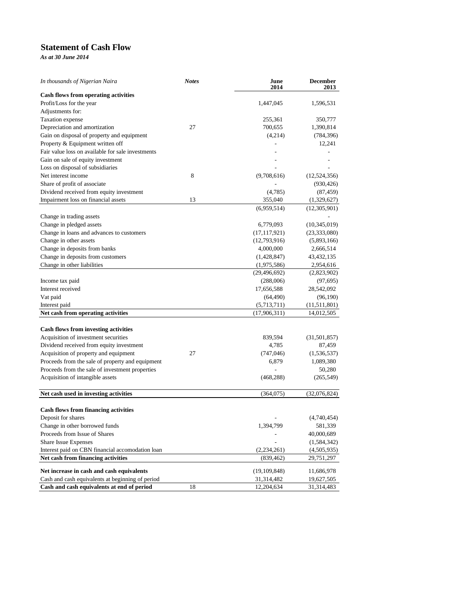## **Statement of Cash Flow**

*As at 30 June 2014*

| In thousands of Nigerian Naira                    | <b>Notes</b> | June<br>2014   | <b>December</b><br>2013 |
|---------------------------------------------------|--------------|----------------|-------------------------|
| <b>Cash flows from operating activities</b>       |              |                |                         |
| Profit/Loss for the year                          |              | 1,447,045      | 1,596,531               |
| Adjustments for:                                  |              |                |                         |
| Taxation expense                                  |              | 255,361        | 350,777                 |
| Depreciation and amortization                     | 27           | 700,655        | 1,390,814               |
| Gain on disposal of property and equipment        |              | (4,214)        | (784, 396)              |
| Property & Equipment written off                  |              |                | 12,241                  |
| Fair value loss on available for sale investments |              |                |                         |
| Gain on sale of equity investment                 |              |                |                         |
| Loss on disposal of subsidiaries                  |              |                |                         |
| Net interest income                               | 8            | (9,708,616)    | (12, 524, 356)          |
| Share of profit of associate                      |              |                | (930, 426)              |
| Dividend received from equity investment          |              | (4,785)        | (87, 459)               |
| Impairment loss on financial assets               | 13           | 355,040        | (1,329,627)             |
|                                                   |              | (6,959,514)    | (12,305,901)            |
| Change in trading assets                          |              |                |                         |
| Change in pledged assets                          |              | 6,779,093      | (10, 345, 019)          |
| Change in loans and advances to customers         |              | (17, 117, 921) | (23, 333, 080)          |
| Change in other assets                            |              | (12,793,916)   | (5,893,166)             |
| Change in deposits from banks                     |              | 4,000,000      | 2,666,514               |
| Change in deposits from customers                 |              | (1,428,847)    | 43,432,135              |
| Change in other liabilities                       |              | (1,975,586)    | 2,954,616               |
|                                                   |              | (29, 496, 692) | (2,823,902)             |
| Income tax paid                                   |              | (288,006)      | (97, 695)               |
| Interest received                                 |              | 17,656,588     | 28,542,092              |
| Vat paid                                          |              | (64, 490)      | (96,190)                |
| Interest paid                                     |              | (5,713,711)    | (11, 511, 801)          |
| Net cash from operating activities                |              | (17,906,311)   | 14,012,505              |
|                                                   |              |                |                         |
| <b>Cash flows from investing activities</b>       |              |                |                         |
| Acquisition of investment securities              |              | 839,594        | (31, 501, 857)          |
| Dividend received from equity investment          |              | 4,785          | 87,459                  |
| Acquisition of property and equipment             | 27           | (747, 046)     | (1, 536, 537)           |
| Proceeds from the sale of property and equipment  |              | 6,879          | 1,089,380               |
| Proceeds from the sale of investment properties   |              |                | 50,280                  |
| Acquisition of intangible assets                  |              | (468, 288)     | (265, 549)              |
| Net cash used in investing activities             |              | (364,075)      | (32,076,824)            |
| <b>Cash flows from financing activities</b>       |              |                |                         |
| Deposit for shares                                |              |                | (4.740.454)             |
| Change in other borrowed funds                    |              | 1,394,799      | 581,339                 |
| Proceeds from Issue of Shares                     |              |                | 40,000,689              |
| Share Issue Expenses                              |              |                | (1, 584, 342)           |
| Interest paid on CBN financial accomodation loan  |              | (2, 234, 261)  | (4,505,935)             |
| Net cash from financing activities                |              | (839,462)      | 29,751,297              |
|                                                   |              |                |                         |
| Net increase in cash and cash equivalents         |              | (19, 109, 848) | 11,686,978              |
| Cash and cash equivalents at beginning of period  |              | 31,314,482     | 19,627,505              |
| Cash and cash equivalents at end of period        | 18           | 12,204,634     | 31,314,483              |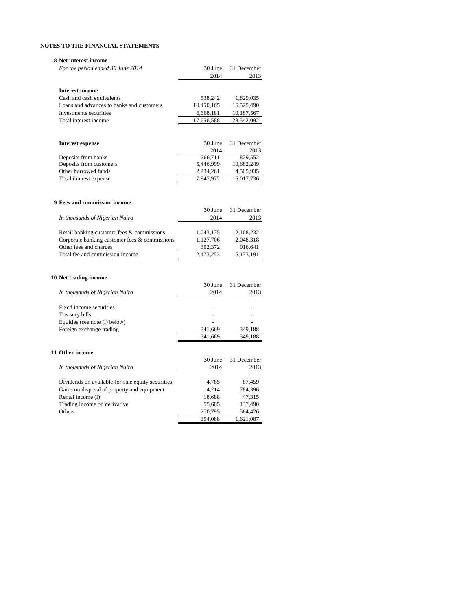#### **8 Net interest income**

| For the period ended 30 June 2014             | 30 June    | 31 December |
|-----------------------------------------------|------------|-------------|
|                                               | 2014       | 2013        |
|                                               |            |             |
| <b>Interest income</b>                        |            |             |
| Cash and cash equivalents                     | 538,242    | 1,829,035   |
| Loans and advances to banks and customers     | 10,450,165 | 16,525,490  |
| Investments securities                        | 6,668,181  | 10,187,567  |
| Total interest income                         | 17,656,588 | 28,542,092  |
|                                               |            |             |
|                                               |            |             |
| <b>Interest expense</b>                       | 30 June    | 31 December |
|                                               | 2014       | 2013        |
| Deposits from banks                           | 266,711    | 829,552     |
| Deposits from customers                       | 5,446,999  | 10,682,249  |
| Other borrowed funds                          | 2,234,261  | 4,505,935   |
| Total interest expense                        | 7,947,972  | 16,017,736  |
|                                               |            |             |
|                                               |            |             |
| 9 Fees and commission income                  |            |             |
|                                               | 30 June    | 31 December |
| In thousands of Nigerian Naira                | 2014       | 2013        |
|                                               |            |             |
| Retail banking customer fees & commissions    | 1,043,175  | 2,168,232   |
| Corporate banking customer fees & commissions | 1,127,706  | 2,048,318   |
| Other fees and charges                        | 302,372    | 916,641     |
| Total fee and commission income               | 2,473,253  | 5,133,191   |
|                                               |            |             |

#### **10 Net trading income**

| 10 Tech truding income                            |         |             |
|---------------------------------------------------|---------|-------------|
|                                                   | 30 June | 31 December |
| In thousands of Nigerian Naira                    | 2014    | 2013        |
|                                                   |         |             |
| Fixed income securities                           |         |             |
| Treasury bills                                    |         |             |
| Equities (see note (i) below)                     |         |             |
| Foreign exchange trading                          | 341,669 | 349,188     |
|                                                   | 341,669 | 349,188     |
| 11 Other income                                   |         |             |
|                                                   | 30 June | 31 December |
| In thousands of Nigerian Naira                    | 2014    | 2013        |
|                                                   |         |             |
| Dividends on available-for-sale equity securities | 4,785   | 87,459      |
| Gains on disposal of property and equipment       | 4,214   | 784,396     |
| Rental income (i)                                 | 18,688  | 47,315      |
| Trading income on derivative                      | 55,605  | 137,490     |
| Others                                            | 270,795 | 564,426     |
|                                                   | 354,088 | 1,621,087   |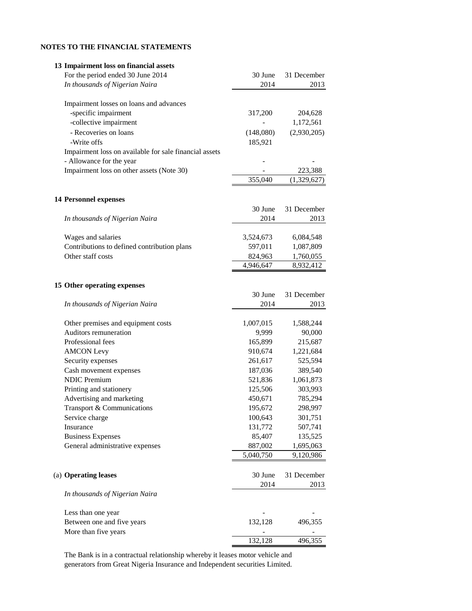| 13 Impairment loss on financial assets                 |           |             |
|--------------------------------------------------------|-----------|-------------|
| For the period ended 30 June 2014                      | 30 June   | 31 December |
| In thousands of Nigerian Naira                         | 2014      | 2013        |
|                                                        |           |             |
| Impairment losses on loans and advances                |           |             |
| -specific impairment                                   | 317,200   | 204,628     |
| -collective impairment                                 |           | 1,172,561   |
| - Recoveries on loans                                  | (148,080) | (2,930,205) |
| -Write offs                                            | 185,921   |             |
| Impairment loss on available for sale financial assets |           |             |
| - Allowance for the year                               |           |             |
| Impairment loss on other assets (Note 30)              |           | 223,388     |
|                                                        | 355,040   | (1,329,627) |
|                                                        |           |             |
|                                                        |           |             |
| <b>14 Personnel expenses</b>                           |           |             |
|                                                        | 30 June   | 31 December |
| In thousands of Nigerian Naira                         | 2014      | 2013        |
|                                                        |           |             |
| Wages and salaries                                     | 3,524,673 | 6,084,548   |
| Contributions to defined contribution plans            | 597,011   | 1,087,809   |
| Other staff costs                                      | 824,963   | 1,760,055   |
|                                                        | 4,946,647 | 8,932,412   |
|                                                        |           |             |
| 15 Other operating expenses                            |           |             |
|                                                        | 30 June   | 31 December |
| In thousands of Nigerian Naira                         | 2014      | 2013        |
|                                                        |           |             |
| Other premises and equipment costs                     | 1,007,015 | 1,588,244   |
| Auditors remuneration                                  | 9,999     | 90,000      |
| Professional fees                                      | 165,899   | 215,687     |
| <b>AMCON Levy</b>                                      | 910,674   | 1,221,684   |
| Security expenses                                      | 261,617   | 525,594     |
| Cash movement expenses                                 | 187,036   | 389,540     |
| <b>NDIC Premium</b>                                    | 521,836   | 1,061,873   |
| Printing and stationery                                | 125,506   | 303,993     |
| Advertising and marketing                              | 450,671   | 785,294     |
| Transport & Communications                             | 195,672   | 298,997     |
| Service charge                                         | 100,643   | 301,751     |
| Insurance                                              | 131,772   | 507,741     |
| <b>Business Expenses</b>                               | 85,407    | 135,525     |
| General administrative expenses                        | 887,002   | 1,695,063   |
|                                                        | 5,040,750 | 9,120,986   |
|                                                        |           |             |
| (a) Operating leases                                   | 30 June   |             |
|                                                        |           | 31 December |
|                                                        | 2014      | 2013        |
| In thousands of Nigerian Naira                         |           |             |
|                                                        |           |             |
| Less than one year                                     |           |             |
| Between one and five years                             | 132,128   | 496,355     |
| More than five years                                   |           |             |
|                                                        | 132,128   | 496,355     |

The Bank is in a contractual relationship whereby it leases motor vehicle and generators from Great Nigeria Insurance and Independent securities Limited.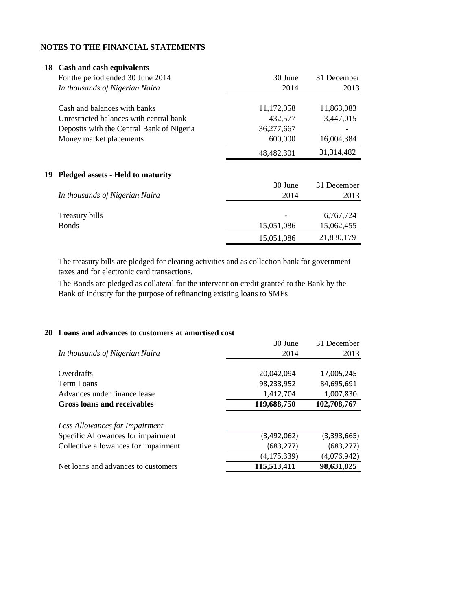| 18 | Cash and cash equivalents                 |            |              |
|----|-------------------------------------------|------------|--------------|
|    | For the period ended 30 June 2014         | 30 June    | 31 December  |
|    | In thousands of Nigerian Naira            | 2014       | 2013         |
|    | Cash and balances with banks              | 11,172,058 | 11,863,083   |
|    | Unrestricted balances with central bank   | 432,577    | 3,447,015    |
|    | Deposits with the Central Bank of Nigeria | 36,277,667 |              |
|    | Money market placements                   | 600,000    | 16,004,384   |
|    |                                           | 48,482,301 | 31, 314, 482 |
| 19 | <b>Pledged assets - Held to maturity</b>  |            |              |
|    |                                           | 30 June    | 31 December  |
|    | In thousands of Nigerian Naira            | 2014       | 2013         |
|    | Treasury bills                            |            | 6,767,724    |
|    | <b>Bonds</b>                              | 15,051,086 | 15,062,455   |
|    |                                           | 15,051,086 | 21,830,179   |

The treasury bills are pledged for clearing activities and as collection bank for government taxes and for electronic card transactions.

The Bonds are pledged as collateral for the intervention credit granted to the Bank by the Bank of Industry for the purpose of refinancing existing loans to SMEs

## **20 Loans and advances to customers at amortised cost**

| 30 June     | 31 December |
|-------------|-------------|
| 2014        | 2013        |
|             |             |
| 20,042,094  | 17,005,245  |
| 98,233,952  | 84,695,691  |
| 1,412,704   | 1,007,830   |
| 119,688,750 | 102,708,767 |
|             |             |
|             |             |
| (3,492,062) | (3,393,665) |
| (683, 277)  | (683, 277)  |
| (4,175,339) | (4,076,942) |
| 115,513,411 | 98,631,825  |
|             |             |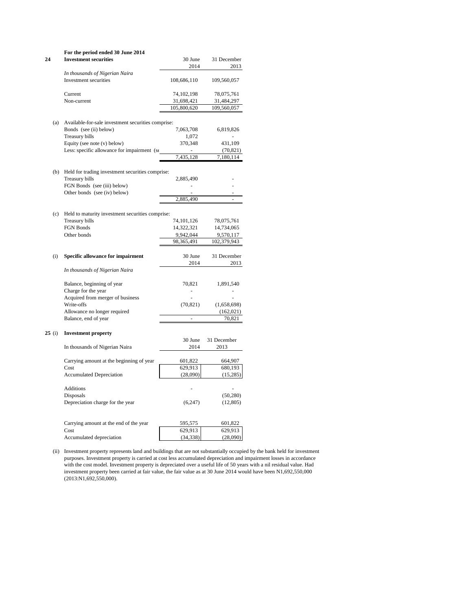| 24    | For the period ended 30 June 2014<br><b>Investment securities</b>  | 30 June                  | 31 December              |
|-------|--------------------------------------------------------------------|--------------------------|--------------------------|
|       |                                                                    | 2014                     | 2013                     |
|       | In thousands of Nigerian Naira<br>Investment securities            | 108,686,110              | 109,560,057              |
|       | Current<br>Non-current                                             | 74,102,198<br>31,698,421 | 78,075,761<br>31,484,297 |
|       |                                                                    | 105,800,620              | 109,560,057              |
|       |                                                                    |                          |                          |
| (a)   | Available-for-sale investment securities comprise:                 |                          |                          |
|       | Bonds (see (ii) below)                                             | 7,063,708                | 6,819,826                |
|       | Treasury bills                                                     | 1,072                    |                          |
|       | Equity (see note (v) below)                                        | 370,348                  | 431,109                  |
|       | Less: specific allowance for impairment (se                        |                          | (70, 821)                |
|       |                                                                    | 7,435,128                | 7,180,114                |
| (b)   | Held for trading investment securities comprise:<br>Treasury bills | 2,885,490                |                          |
|       | FGN Bonds (see (iii) below)                                        | L,                       |                          |
|       | Other bonds (see (iv) below)                                       |                          |                          |
|       |                                                                    | 2,885,490                | $\overline{a}$           |
|       |                                                                    |                          |                          |
| (c)   | Held to maturity investment securities comprise:                   |                          |                          |
|       | Treasury bills                                                     | 74,101,126               | 78,075,761               |
|       | FGN Bonds                                                          | 14,322,321               | 14,734,065               |
|       | Other bonds                                                        | 9,942,044                | 9,570,117                |
|       |                                                                    | 98,365,491               | 102,379,943              |
| (i)   | Specific allowance for impairment                                  | 30 June                  | 31 December              |
|       |                                                                    | 2014                     | 2013                     |
|       | In thousands of Nigerian Naira                                     |                          |                          |
|       | Balance, beginning of year                                         | 70,821                   | 1,891,540                |
|       | Charge for the year                                                | L,                       |                          |
|       | Acquired from merger of business                                   |                          |                          |
|       | Write-offs                                                         | (70, 821)                | (1,658,698)              |
|       | Allowance no longer required                                       |                          | (162, 021)               |
|       | Balance, end of year                                               |                          | 70,821                   |
|       |                                                                    |                          |                          |
| 25(i) | <b>Investment property</b>                                         |                          |                          |
|       |                                                                    | 30 June                  | 31 December              |
|       | In thousands of Nigerian Naira                                     | 2014                     | 2013                     |
|       | Carrying amount at the beginning of year                           | 601,822                  | 664,907                  |
|       | Cost                                                               | 629,913                  | 680,193                  |
|       | <b>Accumulated Depreciation</b>                                    | (28,090)                 | (15, 285)                |
|       |                                                                    |                          |                          |
|       | <b>Additions</b>                                                   |                          |                          |
|       | Disposals                                                          |                          | (50, 280)                |
|       | Depreciation charge for the year                                   | (6,247)                  | (12, 805)                |
|       |                                                                    |                          |                          |
|       | Carrying amount at the end of the year                             | 595,575                  | 601,822                  |
|       | Cost                                                               | 629,913                  | 629,913                  |
|       | Accumulated depreciation                                           | (34, 338)                | (28,090)                 |

(ii) Investment property represents land and buildings that are not substantially occupied by the bank held for investment purposes. Investment property is carried at cost less accumulated depreciation and impairment losses in accordance with the cost model. Investment property is depreciated over a useful life of 50 years with a nil residual value. Had investment property been carried at fair value, the fair value as at 30 June 2014 would have been N1,692,550,000 (2013:N1,692,550,000).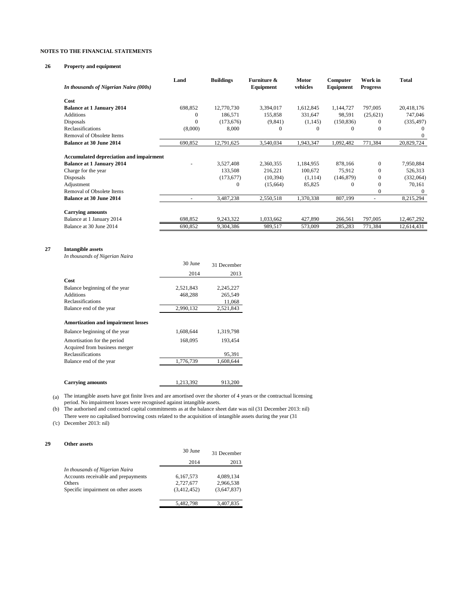#### **26 Property and equipment**

| In thousands of Nigerian Naira (000s)          | Land         | <b>Buildings</b> | Furniture &<br>Equipment | <b>Motor</b><br>vehicles | Computer<br>Equipment | Work in<br><b>Progress</b> | Total      |
|------------------------------------------------|--------------|------------------|--------------------------|--------------------------|-----------------------|----------------------------|------------|
| Cost                                           |              |                  |                          |                          |                       |                            |            |
| <b>Balance at 1 January 2014</b>               | 698,852      | 12,770,730       | 3,394,017                | 1,612,845                | 1,144,727             | 797,005                    | 20,418,176 |
| <b>Additions</b>                               | $\Omega$     | 186,571          | 155,858                  | 331,647                  | 98,591                | (25, 621)                  | 747,046    |
| Disposals                                      | $\mathbf{0}$ | (173, 676)       | (9, 841)                 | (1,145)                  | (150, 836)            | $\theta$                   | (335, 497) |
| Reclassifications                              | (8,000)      | 8,000            |                          | 0                        | $\theta$              |                            |            |
| Removal of Obsolete Items                      |              |                  |                          |                          |                       |                            | 0          |
| <b>Balance at 30 June 2014</b>                 | 690,852      | 12,791,625       | 3,540,034                | 1,943,347                | 1,092,482             | 771,384                    | 20,829,724 |
| <b>Accumulated depreciation and impairment</b> |              |                  |                          |                          |                       |                            |            |
| <b>Balance at 1 January 2014</b>               | -            | 3,527,408        | 2,360,355                | 1,184,955                | 878,166               | $\Omega$                   | 7,950,884  |
| Charge for the year                            |              | 133,508          | 216,221                  | 100,672                  | 75,912                | $\Omega$                   | 526,313    |
| Disposals                                      |              | (173, 677)       | (10, 394)                | (1,114)                  | (146, 879)            | $\Omega$                   | (332,064)  |
| Adjustment                                     |              | $\mathbf{0}$     | (15,664)                 | 85,825                   | $\mathbf{0}$          | $\Omega$                   | 70,161     |
| Removal of Obsolete Items                      |              |                  |                          |                          |                       | 0                          | $\theta$   |
| <b>Balance at 30 June 2014</b>                 | ٠            | 3,487,238        | 2,550,518                | 1,370,338                | 807,199               | ٠                          | 8,215,294  |
| <b>Carrying amounts</b>                        |              |                  |                          |                          |                       |                            |            |
| Balance at 1 January 2014                      | 698,852      | 9,243,322        | 1,033,662                | 427,890                  | 266,561               | 797,005                    | 12,467,292 |
| Balance at 30 June 2014                        | 690,852      | 9,304,386        | 989,517                  | 573,009                  | 285,283               | 771,384                    | 12,614,431 |

#### **27 Intangible assets**

*In thousands of Nigerian Naira*

|                                           | 30 June   | 31 December |
|-------------------------------------------|-----------|-------------|
|                                           | 2014      | 2013        |
| Cost                                      |           |             |
| Balance beginning of the year             | 2,521,843 | 2,245,227   |
| Additions                                 | 468,288   | 265,549     |
| <b>Reclassifications</b>                  |           | 11,068      |
| Balance end of the year                   | 2,990,132 | 2,521,843   |
| <b>Amortization and impairment losses</b> |           |             |
| Balance beginning of the year             | 1,608,644 | 1,319,798   |
| Amortisation for the period               | 168,095   | 193,454     |
| Acquired from business merger             |           |             |
| <b>Reclassifications</b>                  |           | 95,391      |
| Balance end of the year                   | 1,776,739 | 1,608,644   |
|                                           |           |             |
| <b>Carrying amounts</b>                   | 1,213,392 | 913,200     |

(a) The intangible assets have got finite lives and are amortised over the shorter of 4 years or the contractual licensing period. No impairment losses were recognised against intangible assets.

(b) The authorised and contracted capital commitments as at the balance sheet date was nil (31 December 2013: nil) There were no capitalised borrowing costs related to the acquisition of intangible assets during the year (31

('c) December 2013: nil)

#### **29 Other assets**

|                                     | 30 June     | 31 December |
|-------------------------------------|-------------|-------------|
|                                     | 2014        | 2013        |
| In thousands of Nigerian Naira      |             |             |
| Accounts receivable and prepayments | 6,167,573   | 4.089.134   |
| Others                              | 2,727,677   | 2,966,538   |
| Specific impairment on other assets | (3,412,452) | (3,647,837) |
|                                     |             |             |
|                                     | 5.482.798   | 3,407,835   |